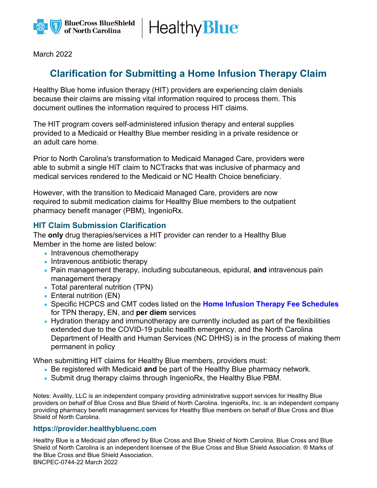

**Healthy Blue** 

March 2022

## **Clarification for Submitting a Home Infusion Therapy Claim**

Healthy Blue home infusion therapy (HIT) providers are experiencing claim denials because their claims are missing vital information required to process them. This document outlines the information required to process HIT claims.

The HIT program covers self-administered infusion therapy and enteral supplies provided to a Medicaid or Healthy Blue member residing in a private residence or an adult care home.

Prior to North Carolina's transformation to Medicaid Managed Care, providers were able to submit a single HIT claim to NCTracks that was inclusive of pharmacy and medical services rendered to the Medicaid or NC Health Choice beneficiary.

However, with the transition to Medicaid Managed Care, providers are now required to submit medication claims for Healthy Blue members to the outpatient pharmacy benefit manager (PBM), IngenioRx.

## **HIT Claim Submission Clarification**

The **only** drug therapies/services a HIT provider can render to a Healthy Blue Member in the home are listed below:

- Intravenous chemotherapy
- Intravenous antibiotic therapy
- Pain management therapy, including subcutaneous, epidural, **and** intravenous pain management therapy
- Total parenteral nutrition (TPN)
- Enteral nutrition (EN)
- Specific HCPCS and CMT codes listed on the **[Home Infusion Therapy Fee Schedules](https://medicaid.ncdhhs.gov/providers/fee-schedules/home-infusion-therapy-fee-schedules)** for TPN therapy, EN, and **per diem** services
- Hydration therapy and immunotherapy are currently included as part of the flexibilities extended due to the COVID-19 public health emergency, and the North Carolina Department of Health and Human Services (NC DHHS) is in the process of making them permanent in policy

When submitting HIT claims for Healthy Blue members, providers must:

- Be registered with Medicaid **and** be part of the Healthy Blue pharmacy network.
- Submit drug therapy claims through IngenioRx, the Healthy Blue PBM.

Notes: Availity, LLC is an independent company providing administrative support services for Healthy Blue providers on behalf of Blue Cross and Blue Shield of North Carolina. IngenioRx, Inc. is an independent company providing pharmacy benefit management services for Healthy Blue members on behalf of Blue Cross and Blue Shield of North Carolina.

## **https://provider.healthybluenc.com**

Healthy Blue is a Medicaid plan offered by Blue Cross and Blue Shield of North Carolina. Blue Cross and Blue Shield of North Carolina is an independent licensee of the Blue Cross and Blue Shield Association. ® Marks of the Blue Cross and Blue Shield Association.

BNCPEC-0744-22 March 2022